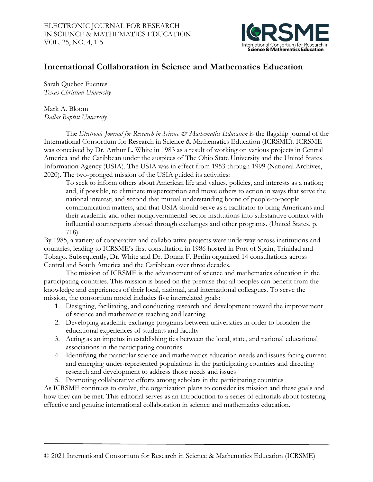

# **International Collaboration in Science and Mathematics Education**

Sarah Quebec Fuentes *Texas Christian University*

Mark A. Bloom *Dallas Baptist University*

The *Electronic Journal for Research in Science & Mathematics Education* is the flagship journal of the International Consortium for Research in Science & Mathematics Education (ICRSME). ICRSME was conceived by Dr. Arthur L. White in 1983 as a result of working on various projects in Central America and the Caribbean under the auspices of The Ohio State University and the United States Information Agency (USIA). The USIA was in effect from 1953 through 1999 (National Archives, 2020). The two-pronged mission of the USIA guided its activities:

To seek to inform others about American life and values, policies, and interests as a nation; and, if possible, to eliminate misperception and move others to action in ways that serve the national interest; and second that mutual understanding borne of people-to-people communication matters, and that USIA should serve as a facilitator to bring Americans and their academic and other nongovernmental sector institutions into substantive contact with influential counterparts abroad through exchanges and other programs. (United States, p. 718)

By 1985, a variety of cooperative and collaborative projects were underway across institutions and countries, leading to ICRSME's first consultation in 1986 hosted in Port of Spain, Trinidad and Tobago. Subsequently, Dr. White and Dr. Donna F. Berlin organized 14 consultations across Central and South America and the Caribbean over three decades.

The mission of ICRSME is the advancement of science and mathematics education in the participating countries. This mission is based on the premise that all peoples can benefit from the knowledge and experiences of their local, national, and international colleagues. To serve the mission, the consortium model includes five interrelated goals:

- 1. Designing, facilitating, and conducting research and development toward the improvement of science and mathematics teaching and learning
- 2. Developing academic exchange programs between universities in order to broaden the educational experiences of students and faculty
- 3. Acting as an impetus in establishing ties between the local, state, and national educational associations in the participating countries
- 4. Identifying the particular science and mathematics education needs and issues facing current and emerging under-represented populations in the participating countries and directing research and development to address those needs and issues
- 5. Promoting collaborative efforts among scholars in the participating countries

As ICRSME continues to evolve, the organization plans to consider its mission and these goals and how they can be met. This editorial serves as an introduction to a series of editorials about fostering effective and genuine international collaboration in science and mathematics education.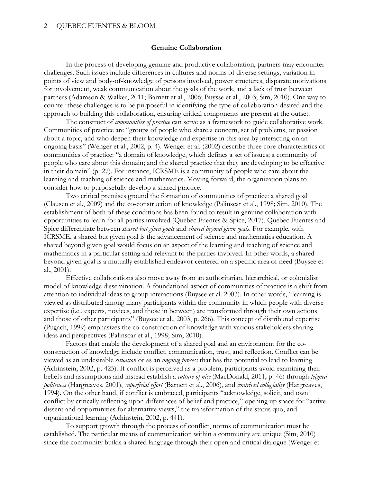## **Genuine Collaboration**

 In the process of developing genuine and productive collaboration, partners may encounter challenges. Such issues include differences in cultures and norms of diverse settings, variation in points of view and body-of-knowledge of persons involved, power structures, disparate motivations for involvement, weak communication about the goals of the work, and a lack of trust between partners (Adamson & Walker, 2011; Barnett et al., 2006; Buysse et al., 2003; Sim, 2010). One way to counter these challenges is to be purposeful in identifying the type of collaboration desired and the approach to building this collaboration, ensuring critical components are present at the outset.

 The construct of *communities of practice* can serve as a framework to guide collaborative work. Communities of practice are "groups of people who share a concern, set of problems, or passion about a topic, and who deepen their knowledge and expertise in this area by interacting on an ongoing basis" (Wenger et al., 2002, p. 4). Wenger et al. (2002) describe three core characteristics of communities of practice: "a domain of knowledge, which defines a set of issues; a community of people who care about this domain; and the shared practice that they are developing to be effective in their domain" (p. 27). For instance, ICRSME is a community of people who care about the learning and teaching of science and mathematics. Moving forward, the organization plans to consider how to purposefully develop a shared practice.

Two critical premises ground the formation of communities of practice: a shared goal (Clausen et al., 2009) and the co-construction of knowledge (Palinscar et al., 1998; Sim, 2010). The establishment of both of these conditions has been found to result in genuine collaboration with opportunities to learn for all parties involved (Quebec Fuentes & Spice, 2017). Quebec Fuentes and Spice differentiate between *shared but given goals* and *shared beyond given goals*. For example, with ICRSME, a shared but given goal is the advancement of science and mathematics education. A shared beyond given goal would focus on an aspect of the learning and teaching of science and mathematics in a particular setting and relevant to the parties involved. In other words, a shared beyond given goal is a mutually established endeavor centered on a specific area of need (Buysee et al., 2001).

Effective collaborations also move away from an authoritarian, hierarchical, or colonialist model of knowledge dissemination. A foundational aspect of communities of practice is a shift from attention to individual ideas to group interactions (Buysee et al. 2003). In other words, "learning is viewed as distributed among many participants within the community in which people with diverse expertise (i.e., experts, novices, and those in between) are transformed through their own actions and those of other participants" (Buysee et al., 2003, p. 266). This concept of distributed expertise (Pugach, 1999) emphasizes the co-construction of knowledge with various stakeholders sharing ideas and perspectives (Palinscar et al., 1998; Sim, 2010).

Factors that enable the development of a shared goal and an environment for the coconstruction of knowledge include conflict, communication, trust, and reflection. Conflict can be viewed as an undesirable *situation* or as an *ongoing process* that has the potential to lead to learning (Achinstein, 2002, p. 425). If conflict is perceived as a problem, participants avoid examining their beliefs and assumptions and instead establish a *culture of nice* (MacDonald, 2011, p. 46) through *feigned politeness* (Hargreaves, 2001), *superficial effort* (Barnett et al., 2006), and *contrived collegiality* (Hargreaves, 1994). On the other hand, if conflict is embraced, participants "acknowledge, solicit, and own conflict by critically reflecting upon differences of belief and practice," opening up space for "active dissent and opportunities for alternative views," the transformation of the status quo, and organizational learning (Achinstein, 2002, p. 441).

 To support growth through the process of conflict, norms of communication must be established. The particular means of communication within a community are unique (Sim, 2010) since the community builds a shared language through their open and critical dialogue (Wenger et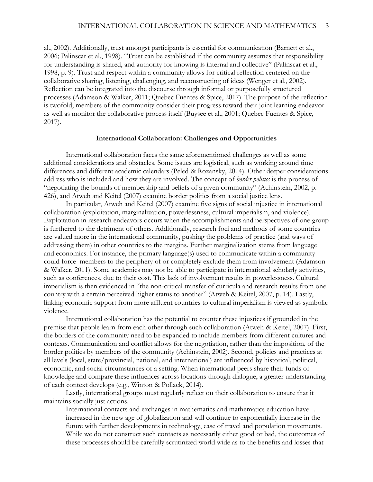al., 2002). Additionally, trust amongst participants is essential for communication (Barnett et al., 2006; Palinscar et al., 1998). "Trust can be established if the community assumes that responsibility for understanding is shared, and authority for knowing is internal and collective" (Palinscar et al., 1998, p. 9). Trust and respect within a community allows for critical reflection centered on the collaborative sharing, listening, challenging, and reconstructing of ideas (Wenger et al., 2002). Reflection can be integrated into the discourse through informal or purposefully structured processes (Adamson & Walker, 2011; Quebec Fuentes & Spice, 2017). The purpose of the reflection is twofold; members of the community consider their progress toward their joint learning endeavor as well as monitor the collaborative process itself (Buysee et al., 2001; Quebec Fuentes & Spice, 2017).

### **International Collaboration: Challenges and Opportunities**

International collaboration faces the same aforementioned challenges as well as some additional considerations and obstacles. Some issues are logistical, such as working around time differences and different academic calendars (Peled & Rozansky, 2014). Other deeper considerations address who is included and how they are involved. The concept of *border politics* is the process of "negotiating the bounds of membership and beliefs of a given community" (Achinstein, 2002, p. 426), and Atweh and Keitel (2007) examine border politics from a social justice lens.

In particular, Atweh and Keitel (2007) examine five signs of social injustice in international collaboration (exploitation, marginalization, powerlessness, cultural imperialism, and violence). Exploitation in research endeavors occurs when the accomplishments and perspectives of one group is furthered to the detriment of others. Additionally, research foci and methods of some countries are valued more in the international community, pushing the problems of practice (and ways of addressing them) in other countries to the margins. Further marginalization stems from language and economics. For instance, the primary language(s) used to communicate within a community could force members to the periphery of or completely exclude them from involvement (Adamson & Walker, 2011). Some academics may not be able to participate in international scholarly activities, such as conferences, due to their cost. This lack of involvement results in powerlessness. Cultural imperialism is then evidenced in "the non-critical transfer of curricula and research results from one country with a certain perceived higher status to another" (Atweh & Keitel, 2007, p. 14). Lastly, linking economic support from more affluent countries to cultural imperialism is viewed as symbolic violence.

International collaboration has the potential to counter these injustices if grounded in the premise that people learn from each other through such collaboration (Atweh & Keitel, 2007). First, the borders of the community need to be expanded to include members from different cultures and contexts. Communication and conflict allows for the negotiation, rather than the imposition, of the border politics by members of the community (Achinstein, 2002). Second, policies and practices at all levels (local, state/provincial, national, and international) are influenced by historical, political, economic, and social circumstances of a setting. When international peers share their funds of knowledge and compare these influences across locations through dialogue, a greater understanding of each context develops (e.g., Winton & Pollack, 2014).

Lastly, international groups must regularly reflect on their collaboration to ensure that it maintains socially just actions.

International contacts and exchanges in mathematics and mathematics education have … increased in the new age of globalization and will continue to exponentially increase in the future with further developments in technology, ease of travel and population movements. While we do not construct such contacts as necessarily either good or bad, the outcomes of these processes should be carefully scrutinized world wide as to the benefits and losses that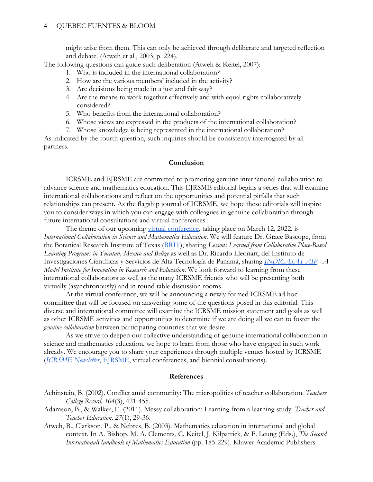might arise from them. This can only be achieved through deliberate and targeted reflection and debate. (Atweh et al., 2003, p. 224).

The following questions can guide such deliberation (Atweh & Keitel, 2007):

- 1. Who is included in the international collaboration?
- 2. How are the various members' included in the activity?
- 3. Are decisions being made in a just and fair way?
- 4. Are the means to work together effectively and with equal rights collaboratively considered?
- 5. Who benefits from the international collaboration?
- 6. Whose views are expressed in the products of the international collaboration?
- 7. Whose knowledge is being represented in the international collaboration?

As indicated by the fourth question, such inquiries should be consistently interrogated by all partners.

### **Conclusion**

ICRSME and EJRSME are committed to promoting genuine international collaboration to advance science and mathematics education. This EJRSME editorial begins a series that will examine international collaborations and reflect on the opportunities and potential pitfalls that such relationships can present. As the flagship journal of ICRSME, we hope these editorials will inspire you to consider ways in which you can engage with colleagues in genuine collaboration through future international consultations and virtual conferences.

The theme of our upcoming [virtual conference,](https://icrsme.com/2022-registration) taking place on March 12, 2022, is *International Collaboration in Science and Mathematics Education*. We will feature Dr. Grace Bascope, from the Botanical Research Institute of Texas [\(BRIT\)](https://brit.org/), sharing *Lessons Learned from Collaborative Place-Based Learning Programs in Yucatan, Mexico and Belize* as well as Dr. Ricardo Lleonart, del Instituto de Investigaciones Científicas y Servicios de Alta Tecnología de Panamá, sharing *[INDICASAT AIP](https://indicasat.org.pa/?lang=en) - A Model Institute for Innovation in Research and Education*. We look forward to learning from these international collaborators as well as the many ICRSME friends who will be presenting both virtually (asynchronously) and in round table discussion rooms.

At the virtual conference, we will be announcing a newly formed ICRSME ad hoc committee that will be focused on answering some of the questions posed in this editorial. This diverse and international committee will examine the ICRSME mission statement and goals as well as other ICRSME activities and opportunities to determine if we are doing all we can to foster the *genuine collaboration* between participating countries that we desire.

As we strive to deepen our collective understanding of genuine international collaboration in science and mathematics education, we hope to learn from those who have engaged in such work already. We encourage you to share your experiences through multiple venues hosted by ICRSME (*[ICRSME](mailto:icrsme.newsletter@gmail.com) Newsletter*, [EJRSME,](http://ejrsme.icrsme.com/) virtual conferences, and biennial consultations).

## **References**

- Achinstein, B. (2002). Conflict amid community: The micropolitics of teacher collaboration. *Teachers College Record, 104*(3), 421-455.
- Adamson, B., & Walker, E. (2011). Messy collaboration: Learning from a learning study. *Teacher and Teacher Education, 27*(1), 29-36.
- Atweh, B., Clarkson, P., & Nebres, B. (2003). Mathematics education in international and global context. In A. Bishop, M. A. Clements, C. Keitel, J. Kilpatrick, & F. Leung (Eds.), *The Second InternationalHandbook of Mathematics Education* (pp. 185-229). Kluwer Academic Publishers.